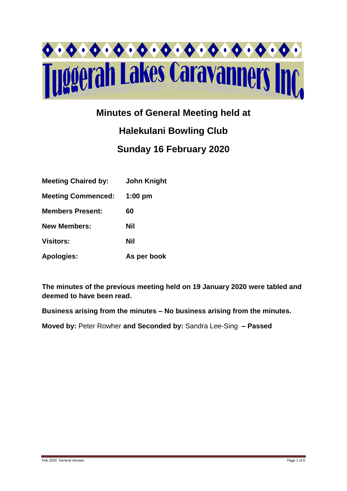

# **Minutes of General Meeting held at**

# **Halekulani Bowling Club Sunday 16 February 2020**

| <b>Meeting Chaired by:</b> | <b>John Knight</b> |
|----------------------------|--------------------|
| <b>Meeting Commenced:</b>  | $1:00$ pm          |
| <b>Members Present:</b>    | 60                 |
| <b>New Members:</b>        | Nil                |
| <b>Visitors:</b>           | Nil                |
| <b>Apologies:</b>          | As per book        |

**The minutes of the previous meeting held on 19 January 2020 were tabled and deemed to have been read.**

**Business arising from the minutes – No business arising from the minutes.**

**Moved by:** Peter Rowher **and Seconded by:** Sandra Lee-Sing **– Passed**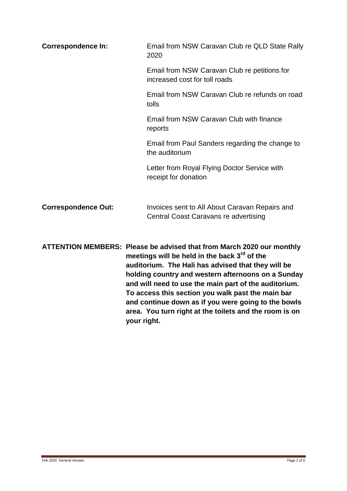| <b>Correspondence In:</b>  | Email from NSW Caravan Club re QLD State Rally<br>2020                                                                                                                                                                                                                                                                                                                                                                                                                                      |
|----------------------------|---------------------------------------------------------------------------------------------------------------------------------------------------------------------------------------------------------------------------------------------------------------------------------------------------------------------------------------------------------------------------------------------------------------------------------------------------------------------------------------------|
|                            | Email from NSW Caravan Club re petitions for<br>increased cost for toll roads                                                                                                                                                                                                                                                                                                                                                                                                               |
|                            | Email from NSW Caravan Club re refunds on road<br>tolls                                                                                                                                                                                                                                                                                                                                                                                                                                     |
|                            | Email from NSW Caravan Club with finance<br>reports                                                                                                                                                                                                                                                                                                                                                                                                                                         |
|                            | Email from Paul Sanders regarding the change to<br>the auditorium                                                                                                                                                                                                                                                                                                                                                                                                                           |
|                            | Letter from Royal Flying Doctor Service with<br>receipt for donation                                                                                                                                                                                                                                                                                                                                                                                                                        |
| <b>Correspondence Out:</b> | Invoices sent to All About Caravan Repairs and<br>Central Coast Caravans re advertising                                                                                                                                                                                                                                                                                                                                                                                                     |
|                            | ATTENTION MEMBERS: Please be advised that from March 2020 our monthly<br>meetings will be held in the back 3 <sup>rd</sup> of the<br>auditorium. The Hali has advised that they will be<br>holding country and western afternoons on a Sunday<br>and will need to use the main part of the auditorium.<br>To access this section you walk past the main bar<br>and continue down as if you were going to the bowls<br>area. You turn right at the toilets and the room is on<br>your right. |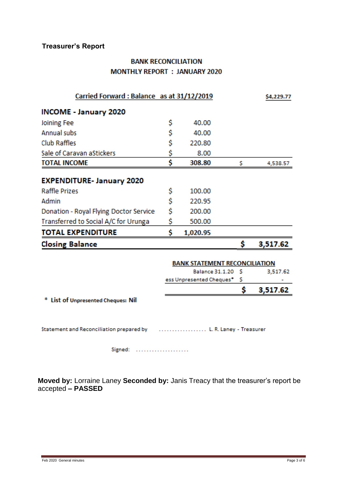## **Treasurer's Report**

### **BANK RECONCILIATION MONTHLY REPORT : JANUARY 2020**

| Carried Forward: Balance as at 31/12/2019                                             |    |                                      | \$4,229.77 |          |
|---------------------------------------------------------------------------------------|----|--------------------------------------|------------|----------|
| <b>INCOME - January 2020</b>                                                          |    |                                      |            |          |
| <b>Joining Fee</b>                                                                    | \$ | 40.00                                |            |          |
| <b>Annual subs</b>                                                                    | \$ | 40.00                                |            |          |
| <b>Club Raffles</b>                                                                   | \$ | 220.80                               |            |          |
| Sale of Caravan aStickers                                                             | \$ | 8.00                                 |            |          |
| <b>TOTAL INCOME</b>                                                                   | Ś  | 308.80                               | s          | 4,538.57 |
| <b>EXPENDITURE- January 2020</b>                                                      |    |                                      |            |          |
| <b>Raffle Prizes</b>                                                                  | \$ | 100.00                               |            |          |
| Admin                                                                                 | \$ | 220.95                               |            |          |
| Donation - Royal Flying Doctor Service                                                | \$ | 200.00                               |            |          |
| Transferred to Social A/C for Urunga                                                  | \$ | 500.00                               |            |          |
| <b>TOTAL EXPENDITURE</b>                                                              | Ŝ  | 1,020.95                             |            |          |
| <b>Closing Balance</b>                                                                |    |                                      | \$         | 3,517.62 |
|                                                                                       |    | <b>BANK STATEMENT RECONCILIATION</b> |            |          |
|                                                                                       |    | Balance 31.1.20 \$                   |            | 3,517.62 |
|                                                                                       |    | ess Unpresented Cheques*             | -S         |          |
|                                                                                       |    |                                      | Ś          | 3,517.62 |
| * List of Unpresented Cheques: Nil                                                    |    |                                      |            |          |
|                                                                                       |    |                                      |            |          |
| Statement and Reconciliation prepared by (educational control of R. Laney - Treasurer |    |                                      |            |          |
| Signed:<br>.                                                                          |    |                                      |            |          |

**Moved by:** Lorraine Laney **Seconded by:** Janis Treacy that the treasurer's report be accepted **– PASSED**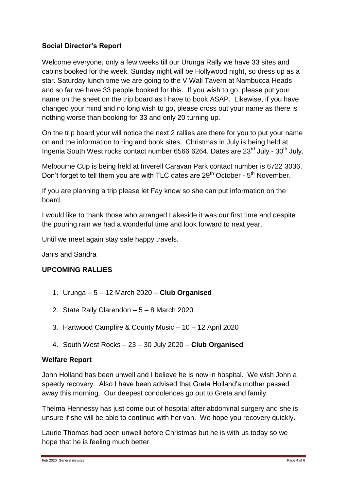#### **Social Director's Report**

Welcome everyone, only a few weeks till our Urunga Rally we have 33 sites and cabins booked for the week. Sunday night will be Hollywood night, so dress up as a star. Saturday lunch time we are going to the V Wall Tavern at Nambucca Heads and so far we have 33 people booked for this. If you wish to go, please put your name on the sheet on the trip board as I have to book ASAP. Likewise, if you have changed your mind and no long wish to go, please cross out your name as there is nothing worse than booking for 33 and only 20 turning up.

On the trip board your will notice the next 2 rallies are there for you to put your name on and the information to ring and book sites. Christmas in July is being held at Ingenia South West rocks contact number 6566 6264. Dates are 23<sup>rd</sup> July - 30<sup>th</sup> July.

Melbourne Cup is being held at Inverell Caravan Park contact number is 6722 3036. Don't forget to tell them you are with TLC dates are 29<sup>th</sup> October -  $5<sup>th</sup>$  November.

If you are planning a trip please let Fay know so she can put information on the board.

I would like to thank those who arranged Lakeside it was our first time and despite the pouring rain we had a wonderful time and look forward to next year.

Until we meet again stay safe happy travels.

Janis and Sandra

#### **UPCOMING RALLIES**

- 1. Urunga 5 12 March 2020 **Club Organised**
- 2. State Rally Clarendon 5 8 March 2020
- 3. Hartwood Campfire & County Music 10 12 April 2020
- 4. South West Rocks 23 30 July 2020 **Club Organised**

#### **Welfare Report**

John Holland has been unwell and I believe he is now in hospital. We wish John a speedy recovery. Also I have been advised that Greta Holland's mother passed away this morning. Our deepest condolences go out to Greta and family.

Thelma Hennessy has just come out of hospital after abdominal surgery and she is unsure if she will be able to continue with her van. We hope you recovery quickly.

Laurie Thomas had been unwell before Christmas but he is with us today so we hope that he is feeling much better.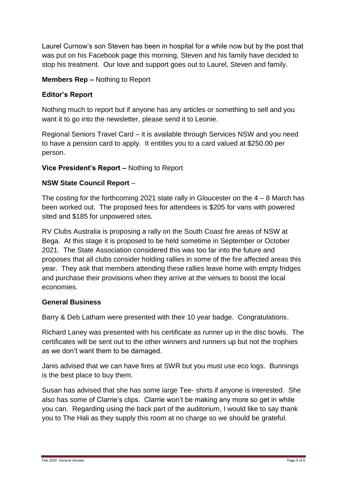Laurel Curnow's son Steven has been in hospital for a while now but by the post that was put on his Facebook page this morning, Steven and his family have decided to stop his treatment. Our love and support goes out to Laurel, Steven and family.

#### **Members Rep –** Nothing to Report

#### **Editor's Report**

Nothing much to report but if anyone has any articles or something to sell and you want it to go into the newsletter, please send it to Leonie.

Regional Seniors Travel Card – it is available through Services NSW and you need to have a pension card to apply. It entitles you to a card valued at \$250.00 per person.

#### **Vice President's Report –** Nothing to Report

#### **NSW State Council Report** –

The costing for the forthcoming 2021 state rally in Gloucester on the  $4 - 8$  March has been worked out. The proposed fees for attendees is \$205 for vans with powered sited and \$185 for unpowered sites.

RV Clubs Australia is proposing a rally on the South Coast fire areas of NSW at Bega. At this stage it is proposed to be held sometime in September or October 2021. The State Association considered this was too far into the future and proposes that all clubs consider holding rallies in some of the fire affected areas this year. They ask that members attending these rallies leave home with empty fridges and purchase their provisions when they arrive at the venues to boost the local economies.

#### **General Business**

Barry & Deb Latham were presented with their 10 year badge. Congratulations.

Richard Laney was presented with his certificate as runner up in the disc bowls. The certificates will be sent out to the other winners and runners up but not the trophies as we don't want them to be damaged.

Janis advised that we can have fires at SWR but you must use eco logs. Bunnings is the best place to buy them.

Susan has advised that she has some large Tee- shirts if anyone is interested. She also has some of Clarrie's clips. Clarrie won't be making any more so get in while you can. Regarding using the back part of the auditorium, I would like to say thank you to The Hali as they supply this room at no charge so we should be grateful.